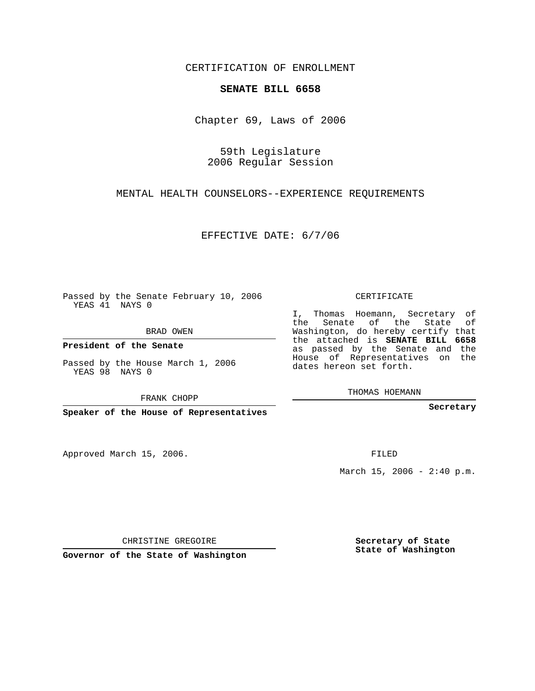CERTIFICATION OF ENROLLMENT

## **SENATE BILL 6658**

Chapter 69, Laws of 2006

59th Legislature 2006 Regular Session

MENTAL HEALTH COUNSELORS--EXPERIENCE REQUIREMENTS

EFFECTIVE DATE: 6/7/06

Passed by the Senate February 10, 2006 YEAS 41 NAYS 0

BRAD OWEN

**President of the Senate**

Passed by the House March 1, 2006 YEAS 98 NAYS 0

FRANK CHOPP

**Speaker of the House of Representatives**

Approved March 15, 2006.

CERTIFICATE

I, Thomas Hoemann, Secretary of the Senate of the State of Washington, do hereby certify that the attached is **SENATE BILL 6658** as passed by the Senate and the House of Representatives on the dates hereon set forth.

THOMAS HOEMANN

**Secretary**

FILED

March 15, 2006 -  $2:40 \text{ p.m.}$ 

CHRISTINE GREGOIRE

**Governor of the State of Washington**

**Secretary of State State of Washington**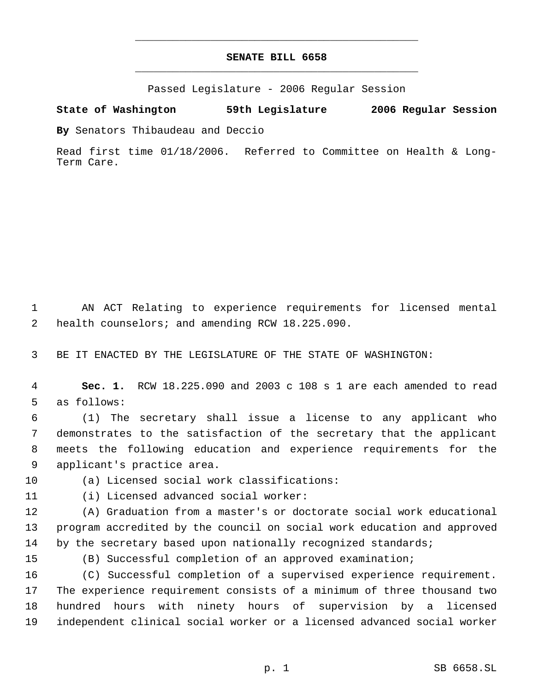## **SENATE BILL 6658** \_\_\_\_\_\_\_\_\_\_\_\_\_\_\_\_\_\_\_\_\_\_\_\_\_\_\_\_\_\_\_\_\_\_\_\_\_\_\_\_\_\_\_\_\_

\_\_\_\_\_\_\_\_\_\_\_\_\_\_\_\_\_\_\_\_\_\_\_\_\_\_\_\_\_\_\_\_\_\_\_\_\_\_\_\_\_\_\_\_\_

Passed Legislature - 2006 Regular Session

**State of Washington 59th Legislature 2006 Regular Session**

**By** Senators Thibaudeau and Deccio

Read first time 01/18/2006. Referred to Committee on Health & Long-Term Care.

 AN ACT Relating to experience requirements for licensed mental health counselors; and amending RCW 18.225.090.

BE IT ENACTED BY THE LEGISLATURE OF THE STATE OF WASHINGTON:

 **Sec. 1.** RCW 18.225.090 and 2003 c 108 s 1 are each amended to read as follows:

 (1) The secretary shall issue a license to any applicant who demonstrates to the satisfaction of the secretary that the applicant meets the following education and experience requirements for the applicant's practice area.

(a) Licensed social work classifications:

(i) Licensed advanced social worker:

 (A) Graduation from a master's or doctorate social work educational program accredited by the council on social work education and approved 14 by the secretary based upon nationally recognized standards;

(B) Successful completion of an approved examination;

 (C) Successful completion of a supervised experience requirement. The experience requirement consists of a minimum of three thousand two hundred hours with ninety hours of supervision by a licensed independent clinical social worker or a licensed advanced social worker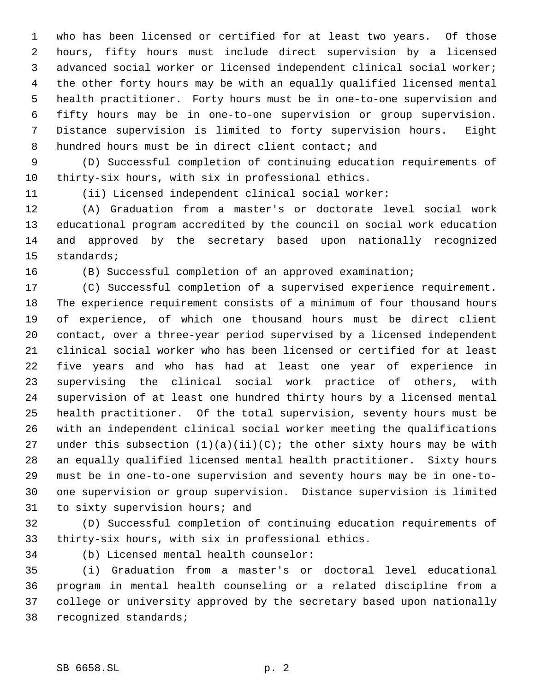who has been licensed or certified for at least two years. Of those hours, fifty hours must include direct supervision by a licensed advanced social worker or licensed independent clinical social worker; the other forty hours may be with an equally qualified licensed mental health practitioner. Forty hours must be in one-to-one supervision and fifty hours may be in one-to-one supervision or group supervision. Distance supervision is limited to forty supervision hours. Eight hundred hours must be in direct client contact; and

 (D) Successful completion of continuing education requirements of thirty-six hours, with six in professional ethics.

(ii) Licensed independent clinical social worker:

 (A) Graduation from a master's or doctorate level social work educational program accredited by the council on social work education and approved by the secretary based upon nationally recognized standards;

(B) Successful completion of an approved examination;

 (C) Successful completion of a supervised experience requirement. The experience requirement consists of a minimum of four thousand hours of experience, of which one thousand hours must be direct client contact, over a three-year period supervised by a licensed independent clinical social worker who has been licensed or certified for at least five years and who has had at least one year of experience in supervising the clinical social work practice of others, with supervision of at least one hundred thirty hours by a licensed mental health practitioner. Of the total supervision, seventy hours must be with an independent clinical social worker meeting the qualifications 27 under this subsection  $(1)(a)(ii)(C)$ ; the other sixty hours may be with an equally qualified licensed mental health practitioner. Sixty hours must be in one-to-one supervision and seventy hours may be in one-to- one supervision or group supervision. Distance supervision is limited to sixty supervision hours; and

 (D) Successful completion of continuing education requirements of thirty-six hours, with six in professional ethics.

(b) Licensed mental health counselor:

 (i) Graduation from a master's or doctoral level educational program in mental health counseling or a related discipline from a college or university approved by the secretary based upon nationally recognized standards;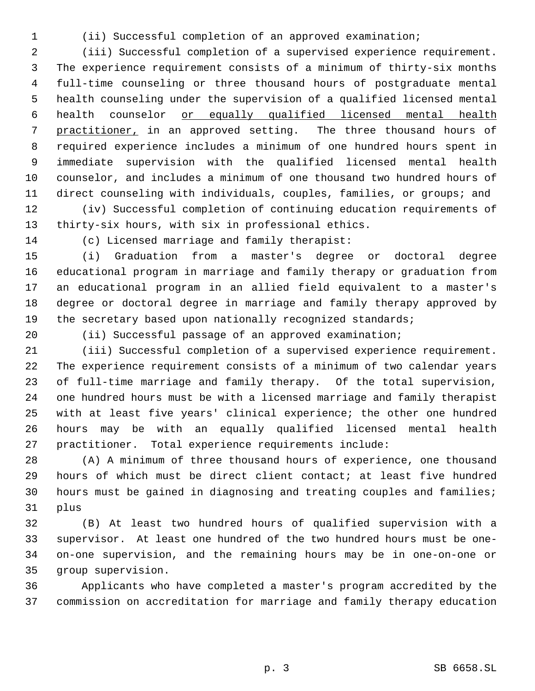(ii) Successful completion of an approved examination;

 (iii) Successful completion of a supervised experience requirement. The experience requirement consists of a minimum of thirty-six months full-time counseling or three thousand hours of postgraduate mental health counseling under the supervision of a qualified licensed mental health counselor or equally qualified licensed mental health practitioner, in an approved setting. The three thousand hours of required experience includes a minimum of one hundred hours spent in immediate supervision with the qualified licensed mental health counselor, and includes a minimum of one thousand two hundred hours of direct counseling with individuals, couples, families, or groups; and

 (iv) Successful completion of continuing education requirements of thirty-six hours, with six in professional ethics.

(c) Licensed marriage and family therapist:

 (i) Graduation from a master's degree or doctoral degree educational program in marriage and family therapy or graduation from an educational program in an allied field equivalent to a master's degree or doctoral degree in marriage and family therapy approved by 19 the secretary based upon nationally recognized standards;

(ii) Successful passage of an approved examination;

 (iii) Successful completion of a supervised experience requirement. The experience requirement consists of a minimum of two calendar years of full-time marriage and family therapy. Of the total supervision, one hundred hours must be with a licensed marriage and family therapist with at least five years' clinical experience; the other one hundred hours may be with an equally qualified licensed mental health practitioner. Total experience requirements include:

 (A) A minimum of three thousand hours of experience, one thousand hours of which must be direct client contact; at least five hundred hours must be gained in diagnosing and treating couples and families; plus

 (B) At least two hundred hours of qualified supervision with a supervisor. At least one hundred of the two hundred hours must be one- on-one supervision, and the remaining hours may be in one-on-one or group supervision.

 Applicants who have completed a master's program accredited by the commission on accreditation for marriage and family therapy education